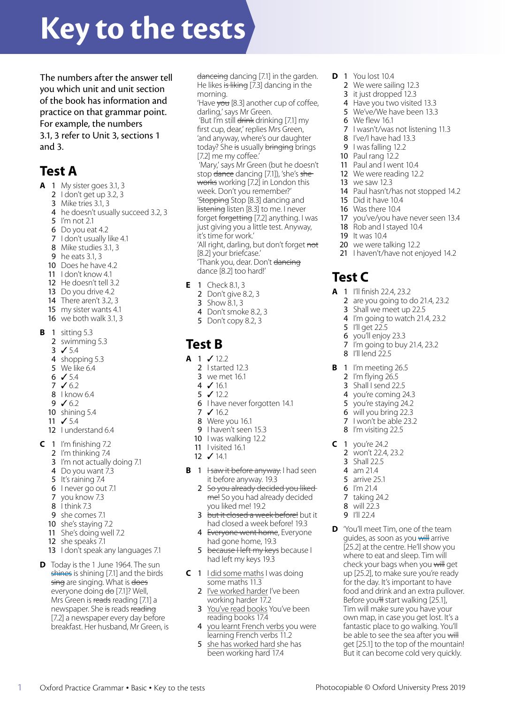# **Key to the tests**

The numbers after the answer tell you which unit and unit section of the book has information and practice on that grammar point. For example, the numbers 3.1, 3 refer to Unit 3, sections 1 and 3.

# **Test A**

- **A** 1 My sister goes 3.1, 3
	- 2 I don't get up 3.2, 3
		- 3 Mike tries 3.1, 3
		- 4 he doesn't usually succeed 3.2, 3
		- 5 I'm not 2.1
		- 6 Do you eat 4.2
		- 7 I don't usually like 4.1
		- 8 Mike studies 3.1, 3
		- 9 he eats 3.1, 3
	- 10 Does he have 4.2
	- 11 I don't know 4.1
	- 12 He doesn't tell 3.2
	- 13 Do you drive 4.2
	- 14 There aren't 3.2, 3
	- 15 my sister wants 4.1
	- 16 we both walk 3.1, 3
- **B** 1 sitting 5.3
	- 2 swimming 5.3
	- 3 ✓ 5.4
	- 4 shopping 5.3
	- 5 We like 6.4
	- $6 \times 5.4$
	- 7 ✓ 6.2
	- 8 I know 6.4
	- 9 ✓ 6.2
	- 10 shining 5.4
	- 11  $\sqrt{5.4}$
	- 12 I understand 6.4
- **C** 1 I'm finishing 7.2
	- 2 I'm thinking 7.4
	- 3 I'm not actually doing 7.1
	- 4 Do you want 7.3
	- 5 It's raining 7.4
	- 6 I never go out 7.1
	- 7 you know 7.3
	- $\overline{8}$  1 think 7.3
	- 9 she comes 7.1
	- 10 she's staying 7.2
	- 11 She's doing well 7.2
	- 12 she speaks 7.1
	- 13 I don't speak any languages 7.1
- **D** Today is the 1 June 1964. The sun shines is shining [7.1] and the birds sing are singing. What is does everyone doing do [7.1]? Well, Mrs Green is reads reading [7.1] a newspaper. She is reads reading [7.2] a newspaper every day before breakfast. Her husband, Mr Green, is

danceing dancing [7.1] in the garden. He likes is liking [7.3] dancing in the morning.

'Have vou [8.3] another cup of coffee, darling,' says Mr Green.

'But I'm still drink drinking [7.1] my first cup, dear,' replies Mrs Green, 'and anyway, where's our daughter today? She is usually bringing brings [7.2] me my coffee.'

 'Mary,' says Mr Green (but he doesn't stop dance dancing [7.1]), 'she's sheworks working [7.2] in London this week. Don't you remember?' 'Stopping Stop [8.3] dancing and listening listen [8.3] to me. I never forget forgetting [7.2] anything. I was just giving you a little test. Anyway,

it's time for work.'

'All right, darling, but don't forget not [8.2] your briefcase.' 'Thank you, dear. Don't dancing

dance [8.2] too hard!'

- **E** 1 Check 8.1, 3
	- 2 Don't give 8.2, 3
	- 3 Show 8.1, 3
	- 4 Don't smoke 8.2, 3
	- 5 Don't copy 8.2, 3

# **Test B**

- **A** 1 ✓ 12.2
	- 2 I started 12.3
	- 3 we met 16.1
	- 4 ✓ 16.1 5 ✓ 12.2
	-
	- 6 I have never forgotten 14.1
	- 7 ✓ 16.2
	- 8 Were you 16.1
	- 9 I haven't seen 15.3
	- 10 I was walking 12.2
	- 11 I visited 16.1
	- 12 ✓ 14.1
- **B** 1 <del>I saw it before anyway</del>. I had seen it before anyway. 19.3
	- 2 So you already decided you liked me! So you had already decided you liked me! 19.2
	- 3 but it closed a week before! but it had closed a week before! 19.3
	- 4 Everyone went home, Everyone had gone home, 19.3
	- 5 because Heft my keys because I had left my keys 19.3
- **C** 1 I did some maths I was doing some maths 11.3
	- 2 I've worked harder I've been working harder 17.2
	- 3 You've read books You've been reading books 17.4
	- 4 you learnt French verbs you were learning French verbs 11.2
	- 5 she has worked hard she has been working hard 17.4

1 Oxford Practice Grammar • Basic • Key to the tests Photocopiable © Oxford University Press 2019

- **D** 1 You lost 10.4
	- 2 We were sailing 12.3
	- 3 it just dropped 12.3
	- 4 Have you two visited 13.3
	- 5 We've/We have been 13.3
	- 6 We flew 16.1
	- 7 I wasn't/was not listening 11.3
	- 8 I've/I have had 13.3
	- 9 I was falling 12.2
	- 10 Paul rang 12.2
	- 11 Paul and I went 10.4
	- 12 We were reading 12.2
	- 13 we saw 12.3
	- 14 Paul hasn't/has not stopped 14.2
	- 15 Did it have 10.4
	- 16 Was there 10.4

**A** 1 I'll finish 22.4, 23.2

5 I'll get 22.5 6 you'll enjoy 23.3 7 I'm going to buy 21.4, 23.2

 I'll lend 22.5 **B** 1 I'm meeting 26.5 I'm flying 26.5 3 Shall I send 22.5 you're coming 24.3 you're staying 24.2 will you bring 22.3 I won't be able 23.2 8 I'm visiting 22.5

**C** 1 you're 24.2 2 won't 22.4, 23.2 3 Shall 22.5 4 am 21.4 5 arrive 25.1 6 I'm 21.4 7 taking 24.2  $8$  will  $22.3$ 9 I'll 22.4

**D** 'You'll meet Tim, one of the team guides, as soon as you will arrive [25.2] at the centre. He'll show you where to eat and sleep. Tim will check your bags when you will get up [25.2], to make sure you're ready for the day. It's important to have food and drink and an extra pullover. Before you'll start walking [25.1], Tim will make sure you have your own map, in case you get lost. It's a fantastic place to go walking. You'll be able to see the sea after you will get [25.1] to the top of the mountain! But it can become cold very quickly.

17 you've/you have never seen 13.4

2 are you going to do 21.4, 23.2 3 Shall we meet up 22.5 4 I'm going to watch 21.4, 23.2

- 18 Rob and I stayed 10.4
- 19 It was 104

**Test C**

20 we were talking 12.2 21 I haven't/have not enjoyed 14.2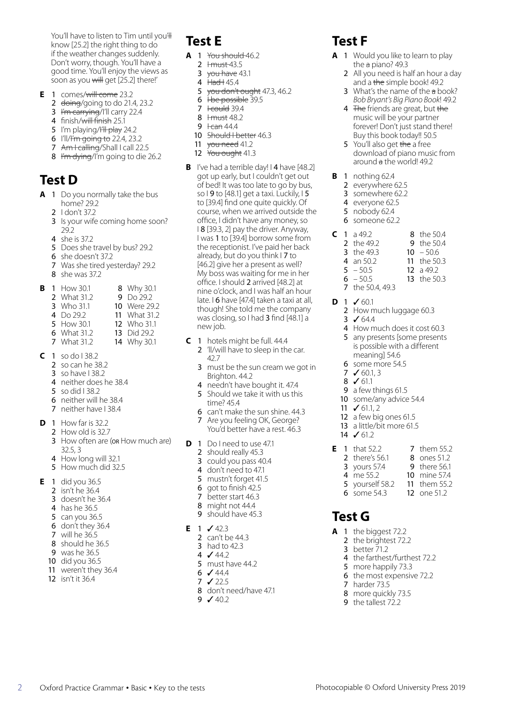You'll have to listen to Tim until you'll know [25.2] the right thing to do if the weather changes suddenly. Don't worry, though. You'll have a good time. You'll enjoy the views as soon as you will get [25.2] there!'

- **E** 1 comes/will come 23.2
	- 2 <del>doing</del>/going to do 21.4, 23.2
	- 3 I'm carrying/I'll carry 22.4
	- 4 finish/will finish 25.1
	- 5 I'm playing/<del>I'll play</del> 24.2
	- 6 I'll/I'm going to 22.4, 23.2
	- 7 Am I calling/Shall I call 22.5
	- 8 I'm dying/I'm going to die 26.2

## **Test D**

- **A** 1 Do you normally take the bus home? 29.2
	- 2 I don't 37.2
	- 3 Is your wife coming home soon? 29.2
	- 4 she is 37.2
	- 5 Does she travel by bus? 29.2
	- 6 she doesn't 37.2
	- 7 Was she tired yesterday? 29.2
	- 8 she was 37.2

| В |  | 1 How 30.1 |  | 8 Why 30.1 |
|---|--|------------|--|------------|
|---|--|------------|--|------------|

- 2 What 31.2 9 Do 29.2
- 3 Who 31.1 10 Were 29.2
- 4 Do 29.2 11 What 31.2
- 5 How 30.1 12 Who 31.1
- 6 What 31.2 **7** What 31.2 13 Did 29.2 14 Why 30.1
- 
- **C** 1 so do I 38.2
	- 2 so can he 38.2
	- 3 so have I 38.2
	- 4 neither does he 38.4
	- 5 so did I 38.2
	- 6 neither will he 38.4 7 neither have I 38.4
- **D** 1 How far is 32.2
- 2 How old is 32.7
	- 3 How often are (or How much are) 32.5, 3
	- 4 How long will 32.1
	- 5 How much did 32.5
- **E** 1 did you 36.5
	- 2 isn't he 36.4
	- 3 doesn't he 36.4
	- 4 has he 36.5
	- 5 can you 36.5 6 don't they 36.4
	- 7 will he 36.5
	-
	- 8 should he 36.5 9 was he 36.5
	- 10 did you 36.5
	- 11 weren't they 36.4
	- 12 isn't it 36.4
	-

# **Test E**

- **A** 1 You should 46.2
	- $2$   $H must 43.5$
	- $3$  vou have 43.1 4  $<sup>1</sup>$  Had H 45.4</sup>
	-
	- 5 you don't ought 47.3, 46.2  $6$  Hbe possible 39.5
	-
	- $7$   $t$  could 39.4 8 <del>I must</del> 48.2
	- 9  $1$  <del>Can</del> 44.4
	- 10 Should I better 46.3
	- 11 you need 41.2
	- 12 You ought 41.3
- **B** I've had a terrible day! I 4 have [48.2] got up early, but I couldn't get out of bed! It was too late to go by bus, so I 9 to [48.1] get a taxi. Luckily,  $15$ to [39.4] find one quite quickly. Of course, when we arrived outside the office, I didn't have any money, so I 8 [39.3, 2] pay the driver. Anyway, I was 1 to [39.4] borrow some from the receptionist. I've paid her back already, but do you think I 7 to [46.2] give her a present as well? My boss was waiting for me in her office. I should 2 arrived [48.2] at nine o'clock, and I was half an hour late. I 6 have [47.4] taken a taxi at all, though! She told me the company was closing, so I had 3 find [48.1] a new job.
- **C** 1 hotels might be full. 44.4 2 'll/will have to sleep in the car. 42.7
	- 3 must be the sun cream we got in Brighton. 44.2
	- 4 needn't have bought it. 47.4
	- 5 Should we take it with us this time? 45.4
	- 6 can't make the sun shine. 44.3
	- 7 Are you feeling OK, George? You'd better have a rest. 46.3
- **D** 1 Do I need to use 47.1
	- 2 should really 45.3
	- 3 could you pass 40.4
	- 4 don't need to 47.1
	- 5 mustn't forget 41.5
	- 6 got to finish 42.5
	- 7 better start 46.3
	- 8 might not 44.4
	- 9 should have 45.3
- **E** 1 ✓ 42.3
	- 2 can't be 44.3
	- 3 had to 42.3
	- 4 ✓ 44.2
	- 5 must have 44.2
	- $6 \times 44.4$
	- 7 ✓ 22.5
	- 8 don't need/have 47.1

2 Oxford Practice Grammar • Basic • Key to the tests Photocopiable © Oxford University Press 2019

9 ✓ 40.2

# **Test F**

- **A** 1 Would you like to learn to play the a piano? 49.3
	- 2 All you need is half an hour a day and a the simple book! 49.2
	- 3 What's the name of the a book? *Bob Bryant's Big Piano Book*! 49.2
	- 4 The friends are great, but the music will be your partner forever! Don't just stand there! Buy this book today!! 50.5
	- 5 You'll also get the a free download of piano music from around a the world! 49.2
- **B** 1 nothing 62.4
	- 2 everywhere 62.5
	- 3 somewhere 62.2
	- 4 everyone 62.5
	- 5 nobody 62.4
	- 6 someone 62.2

4 an 50.2  $5 - 50.5$  $6 - 50.5$ 7 the 50.4, 49.3

**D** 1 ✓ 60.1

3 ✓ 64.4

11  $\sqrt{61.1}$ , 2

 $\sqrt{61.2}$ **E** 1 that 52.2 there's 56.1 yours 57.4 4 me 55.2 yourself 58.2 some 54.3

**Test G**

**A** 1 the biggest 72.2 2 the brightest 72.2 **3** better  $\bar{7}1.2$ 

> 7 harder 73.5 8 more quickly 73.5 9 the tallest 72.2

4 the farthest/furthest 72.2 5 more happily 73.3 6 the most expensive 72.2

- **C** 1 a 49.2 8 the 50.4
	- 2 the 49.2 9 the  $50.4$
	- 3 the 49.3  $10 - 50.6$

2 How much luggage 60.3

meaning] 54.6 6 some more 54.5 7  $\sqrt{60.1}$ , 3 8 ✓ 61.1

9 a few things 61.5 10 some/any advice 54.4

12 a few big ones 61.5 13 a little/bit more 61.5

4 How much does it cost 60.3 5 any presents [some presents is possible with a different

11 the 50.3 12 a 49.2 13 the 50.3

 them 55.2 ones 51.2 there 56.1 mine 57.4 11 them 55.2 12 one 51.2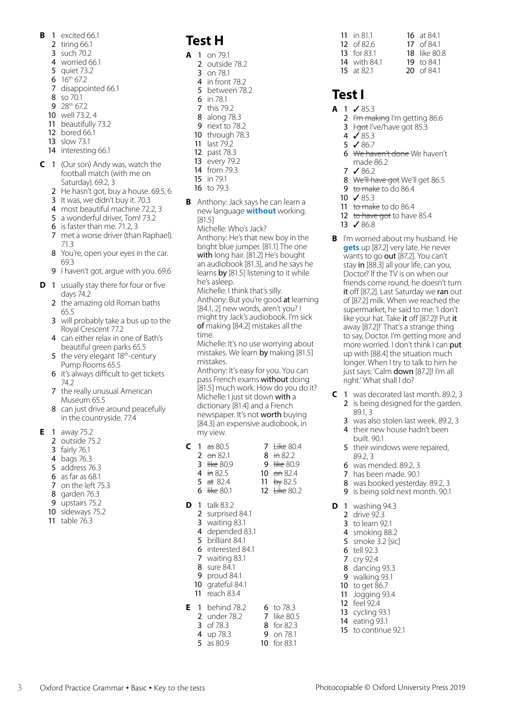- **B** 1 excited 66.1
	- 2 tiring 66.1
	- 3 such 70.2
	- 4 worried 66.1
	- 5 quiet 73.2
	- 6  $16^{th}$  67.2
	- 7 disappointed 66.1
	- 8 so 70.1
	- 9 28<sup>th</sup> 67.2
	- 10 well 73.2, 4
	- 11 beautifully 73.2
	- 12 bored 66.1
	- 13 slow 73.1
	- 14 interesting 66.1
- **C** 1 (Our son) Andy was, watch the football match (with me on Saturday). 69.2, 3
	- 2 He hasn't got, buy a house. 69.5, 6
	- 3 It was, we didn't buy it. 70.3
	- 4 most beautiful machine 72.2, 3
	- 5 a wonderful driver, Tom! 73.2
	- 6 is faster than me. 71.2, 3
	- 7 met a worse driver (than Raphael). 71.3
	- 8 You're, open your eyes in the car. 69.3
	- 9 I haven't got, argue with you. 69.6
- **D** 1 usually stay there for four or five days 74.2
	- 2 the amazing old Roman baths 65.5
	- 3 will probably take a bus up to the Royal Crescent 77.2
	- 4 can either relax in one of Bath's beautiful green parks 65.5
	- 5 the very elegant 18<sup>th</sup>-century Pump Rooms 65.5
	- 6 it's always difficult to get tickets 74.2
	- 7 the really unusual American Museum 65.5
	- 8 can just drive around peacefully in the countryside. 77.4
- **E** 1 away 75.2
	- 2 outside 75.2
	- 3 fairly 76.1
	- 4 bags 76.3
	- 5 address 76.3
	- 6 as far as 68.1
	- 7 on the left 75.3
	- 8 garden 76.3
	- 9 upstairs 75.2
	- 10 sideways 75.2
	- 11 table 76.3

# **Test H**

- **A** 1 on 79.1
	- 2 outside 78.2
	- 3 on 78.1 4 in front 78.2
	- 5 between 78.2
	- 6 in 78.1
	- 7 this 79.2
	- 8 along 78.3
	- 9 next to 78.2
	- 10 through 78.3 11 last 79.2
	- 12 past 78.3
	- 13 every 79.2
	- 14 from 79.3
	- 15 in 79.1
	- 16 to 79.3
- **B** Anthony: Jack says he can learn a new language **without** working. [81.5]

Michelle: Who's Jack? Anthony: He's that new boy in the bright blue jumper. [81.1] The one with long hair. [81.2] He's bought an audiobook [81.3], and he says he learns by [81.5] listening to it while he's asleep.

Michelle: I think that's silly. Anthony: But you're good at learning [84.1, 2] new words, aren't you? I might try Jack's audiobook. I'm sick of making [84.2] mistakes all the time.

Michelle: It's no use worrying about mistakes. We learn by making [81.5] mistakes.

Anthony: It's easy for you. You can pass French exams without doing [81.5] much work. How do you do it? Michelle: I just sit down with a dictionary [81.4] and a French newspaper. It's not worth buying [84.3] an expensive audiobook, in my view.

9 like 80.9

|  | <b>C</b> 1 as 80.5 | 7 $H = 80.4$ |
|--|--------------------|--------------|
|  | 2 $ -$ 6 $-$ 82.1  | 8 in 82.2    |

- 2 on 82.1 3 like 80.9
- 4 in 82.5

5 at 82.4 10 on 82.4 11  $b \ne 82.5$ 

- 6 like 80.1 12 <del>Like</del> 80.2
- **D** 1 talk 83.2
	- 2 surprised 84.1
	- 3 waiting 83.1 4 depended 83.1
	- 5 brilliant 84.1
	- 6 interested 84.1
	- 7 waiting 83.1
	- 8 sure 84.1
	- 9 proud 84.1
	- 10 grateful 84.1
	- 11 reach 83.4
- **E** 1 behind 78.2 2 under 78.2 3 of 78.3 4 up 78.3 5 as 80.9 6 to 78.3 7 like 80.5 8 for 82.3 9 on 78.1 10 for 83.1

3 Oxford Practice Grammar • Basic • Key to the tests Photocopiable © Oxford University Press 2019

11 in 81.1 12 of 82.6 13 for 83.1 14 with 84.1 15 at 82.1 16 at 84.1 17 of 84.1 18 like 80.8 19 to 84.1 20 of 84.1

## **Test I**

- $A$  1  $\checkmark$  85.3
	- 2 I'm making I'm getting 86.6
	- **3**  $+$ <del>got</del> I've/have got 85.3
	- 4 ✓ 85.3
	- 5 ✓ 86.7
	- 6 We haven't done We haven't made 86.2
	- 7 ✓ 86.2
	- 8 We'll have got We'll get 86.5
	- 9 to make to do 86.4
	- 10 ✓ 85.3
	- 11 to make to do 86.4
	- 12 to have got to have 85.4
	- 13 ✓ 86.8
- **B** I'm worried about my husband. He **gets** up [87.2] very late. He never wants to go out [87.2]. You can't stay in [88.3] all your life, can you, Doctor? If the TV is on when our friends come round, he doesn't turn it off [87.2]. Last Saturday we ran out of [87.2] milk. When we reached the supermarket, he said to me: 'I don't like your hat. Take it off [87.2]! Put it away [87.2]!' That's a strange thing to say, Doctor. I'm getting more and more worried. I don't think I can put up with [88.4] the situation much longer. When I try to talk to him he just says: 'Calm down [87.2]! I'm all right.' What shall I do?
- **C** 1 was decorated last month. 89.2, 3 2 is being designed for the garden. 89.1, 3
	- 3 was also stolen last week. 89.2, 3
	- 4 their new house hadn't been built. 90.1
	- 5 their windows were repaired, 89.2, 3

9 is being sold next month. 90.1

- 6 was mended. 89.2, 3
- 7 has been made. 90.1 8 was booked yesterday. 89.2, 3

**D** 1 washing 94.3 drive 92.3 to learn 92.1 smoking 88.2 smoke 3.2 [sic] tell 92.3 7 cry 92.4 dancing 93.3 walking 93.1 to get 86.7 Jogging 93.4 feel 92.4 cycling 93.1 eating 93.1 to continue 92.1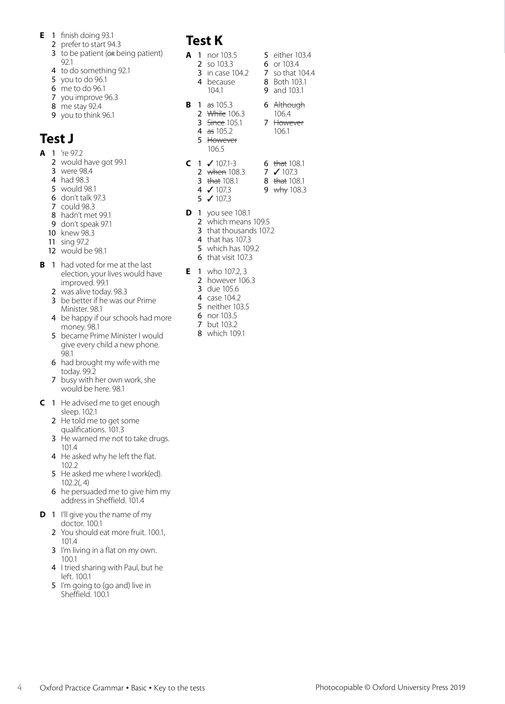- **E** 1 finish doing 93.1
	- 2 prefer to start 94.3
	- 3 to be patient (or being patient) 92.1
	- 4 to do something 92.1
	- 5 you to do 96.1
	- 6 me to do 96.1 7 you improve 96.3
	- 8 me stay 92.4
	- 9 you to think 96.1

# **Test J**

- $A$  1 're 972
	- 2 would have got 99.1
	- 3 were 98.4
	- 4 had 98.3
	- 5 would 98.1
	- 6 don't talk 97.3
	- 7 could 98.3
	- 8 hadn't met 99.1
	- 9 don't speak 97.1
	- 10 knew 98.3
	- 11 sing 97.2
	- 12 would be 98.1
- **B** 1 had voted for me at the last election, your lives would have improved. 99.1
	- 2 was alive today. 98.3
	- 3 be better if he was our Prime Minister. 98.1
	- 4 be happy if our schools had more money. 98.1
	- 5 became Prime Minister I would give every child a new phone. 98.1
	- 6 had brought my wife with me today. 99.2
	- 7 busy with her own work, she would be here. 98.1
- **C** 1 He advised me to get enough sleep. 102.1
	- 2 He told me to get some qualifications. 101.3
	- 3 He warned me not to take drugs. 101.4
	- 4 He asked why he left the flat. 102.2
	- 5 He asked me where I work(ed). 102.2(, 4)
	- 6 he persuaded me to give him my address in Sheffield. 101.4
- **D** 1 I'll give you the name of my doctor. 100.1
	- 2 You should eat more fruit. 100.1, 101.4
	- 3 I'm living in a flat on my own. 100.1
	- 4 I tried sharing with Paul, but he left. 100.1
	- 5 I'm going to (go and) live in Sheffield. 100.1

# **Test K**

- **A** 1 nor 103.5
	- 2 so 103.3
	- 3 in case 104.2 7 so that 104.4 4 because 8 Both 103.1
		- 104.1
- **B** 1 as 105.3
	- 2 <del>While</del> 106.3 **3** Since 105.1
	- 4 as 105.2
	- 5 However 106.5
- $C$  1  $\checkmark$  107.1-3
	- 2 when 108.3
	- **3** that 108.1
	- 4 ✓ 107.3
	- 5 ✓ 107.3
- **D** 1 you see 108.1
	- 2 which means 109.5
	- 3 that thousands 107.2
	- 4 that has 107.3
	- 5 which has 109.2
	- 6 that visit 107.3
- **E** 1 who 107.2, 3
	- 2 however 106.3
	- 3 due 105.6
	- 4 case 104.2
	- 5 neither 103.5
	- 6 nor 103.5 7 but 103.2
	- 8 which 109.1
- 5 either 103.4
- **6** or 103.4
	-
- 9 and 103.1
- 6 Although
	- 106.4 7 However 106.1
- 
- 
- 
- 6 that  $108.1$ 7 ✓ 107.3
- 8 t<del>hat</del> 108.1
- 9 why 108.3